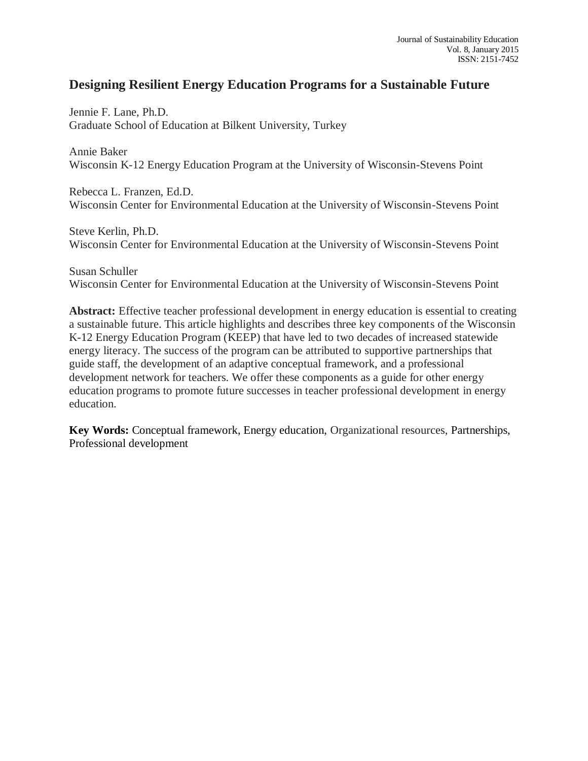# **Designing Resilient Energy Education Programs for a Sustainable Future**

Jennie F. Lane, Ph.D. Graduate School of Education at Bilkent University, Turkey

Annie Baker Wisconsin K-12 Energy Education Program at the University of Wisconsin-Stevens Point

Rebecca L. Franzen, Ed.D. Wisconsin Center for Environmental Education at the University of Wisconsin-Stevens Point

Steve Kerlin, Ph.D. Wisconsin Center for Environmental Education at the University of Wisconsin-Stevens Point

Susan Schuller Wisconsin Center for Environmental Education at the University of Wisconsin-Stevens Point

**Abstract:** Effective teacher professional development in energy education is essential to creating a sustainable future. This article highlights and describes three key components of the Wisconsin K-12 Energy Education Program (KEEP) that have led to two decades of increased statewide energy literacy. The success of the program can be attributed to supportive partnerships that guide staff, the development of an adaptive conceptual framework, and a professional development network for teachers. We offer these components as a guide for other energy education programs to promote future successes in teacher professional development in energy education.

**Key Words:** Conceptual framework, Energy education, Organizational resources, Partnerships, Professional development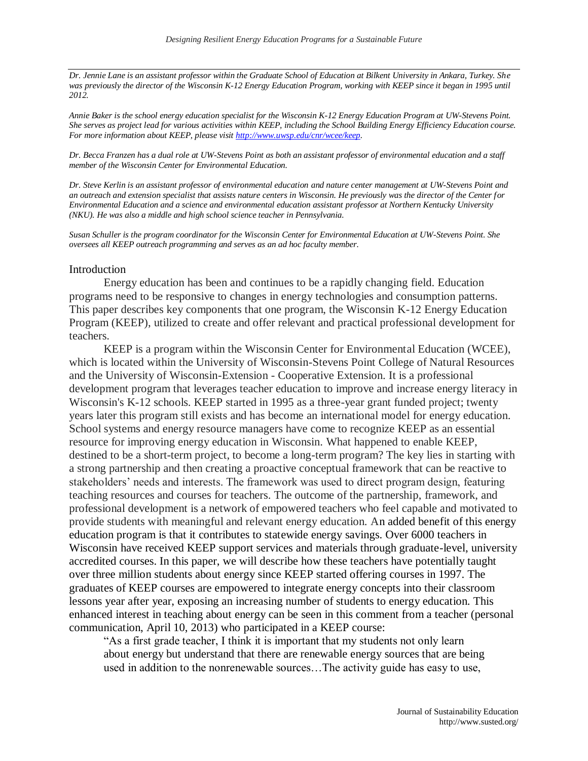*Dr. Jennie Lane is an assistant professor within the Graduate School of Education at Bilkent University in Ankara, Turkey. She*  was previously the director of the Wisconsin K-12 Energy Education Program, working with KEEP since it began in 1995 until *2012.* 

*Annie Baker is the school energy education specialist for the Wisconsin K-12 Energy Education Program at UW-Stevens Point. She serves as project lead for various activities within KEEP, including the School Building Energy Efficiency Education course. For more information about KEEP, please visi[t http://www.uwsp.edu/cnr/wcee/keep.](http://www.uwsp.edu/cnr/wcee/keep)* 

*Dr. Becca Franzen has a dual role at UW-Stevens Point as both an assistant professor of environmental education and a staff member of the Wisconsin Center for Environmental Education.* 

*Dr. Steve Kerlin is an assistant professor of environmental education and nature center management at UW-Stevens Point and an outreach and extension specialist that assists nature centers in Wisconsin. He previously was the director of the Center for Environmental Education and a science and environmental education assistant professor at Northern Kentucky University (NKU). He was also a middle and high school science teacher in Pennsylvania.*

*Susan Schuller is the program coordinator for the Wisconsin Center for Environmental Education at UW-Stevens Point. She oversees all KEEP outreach programming and serves as an ad hoc faculty member.* 

#### Introduction

Energy education has been and continues to be a rapidly changing field. Education programs need to be responsive to changes in energy technologies and consumption patterns. This paper describes key components that one program, the Wisconsin K-12 Energy Education Program (KEEP), utilized to create and offer relevant and practical professional development for teachers.

KEEP is a program within the Wisconsin Center for Environmental Education (WCEE), which is located within the University of Wisconsin-Stevens Point College of Natural Resources and the University of Wisconsin-Extension - Cooperative Extension. It is a professional development program that leverages teacher education to improve and increase energy literacy in Wisconsin's K-12 schools. KEEP started in 1995 as a three-year grant funded project; twenty years later this program still exists and has become an international model for energy education. School systems and energy resource managers have come to recognize KEEP as an essential resource for improving energy education in Wisconsin. What happened to enable KEEP, destined to be a short-term project, to become a long-term program? The key lies in starting with a strong partnership and then creating a proactive conceptual framework that can be reactive to stakeholders' needs and interests. The framework was used to direct program design, featuring teaching resources and courses for teachers. The outcome of the partnership, framework, and professional development is a network of empowered teachers who feel capable and motivated to provide students with meaningful and relevant energy education. An added benefit of this energy education program is that it contributes to statewide energy savings. Over 6000 teachers in Wisconsin have received KEEP support services and materials through graduate-level, university accredited courses. In this paper, we will describe how these teachers have potentially taught over three million students about energy since KEEP started offering courses in 1997. The graduates of KEEP courses are empowered to integrate energy concepts into their classroom lessons year after year, exposing an increasing number of students to energy education. This enhanced interest in teaching about energy can be seen in this comment from a teacher (personal communication, April 10, 2013) who participated in a KEEP course:

"As a first grade teacher, I think it is important that my students not only learn about energy but understand that there are renewable energy sources that are being used in addition to the nonrenewable sources…The activity guide has easy to use,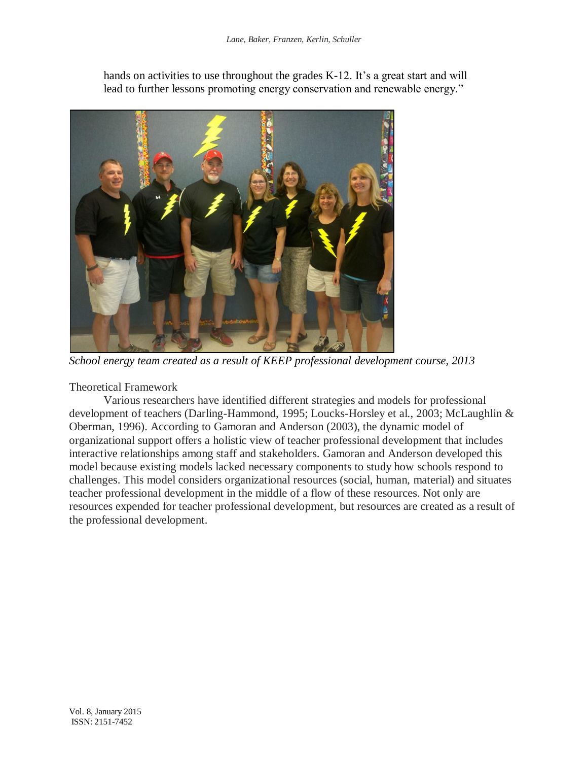

hands on activities to use throughout the grades K-12. It's a great start and will lead to further lessons promoting energy conservation and renewable energy."

*School energy team created as a result of KEEP professional development course, 2013*

Theoretical Framework

Various researchers have identified different strategies and models for professional development of teachers (Darling-Hammond, 1995; Loucks-Horsley et al., 2003; McLaughlin & Oberman, 1996). According to Gamoran and Anderson (2003), the dynamic model of organizational support offers a holistic view of teacher professional development that includes interactive relationships among staff and stakeholders. Gamoran and Anderson developed this model because existing models lacked necessary components to study how schools respond to challenges. This model considers organizational resources (social, human, material) and situates teacher professional development in the middle of a flow of these resources. Not only are resources expended for teacher professional development, but resources are created as a result of the professional development.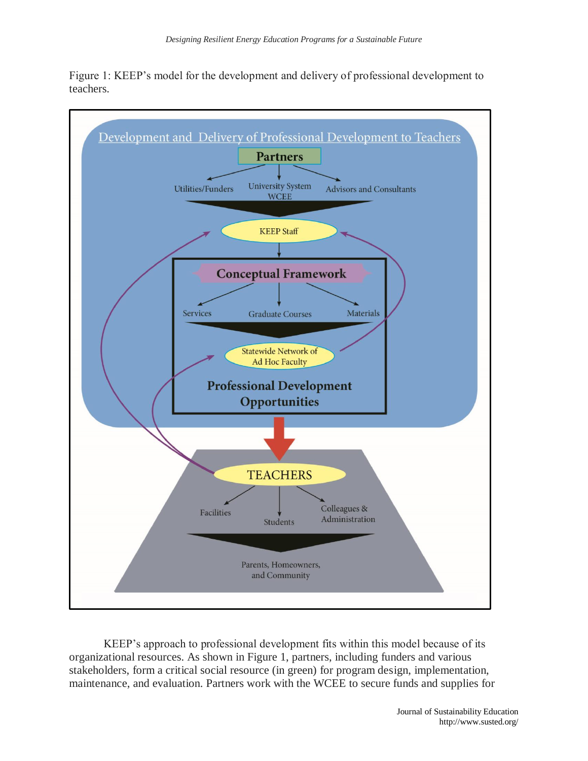



KEEP's approach to professional development fits within this model because of its organizational resources. As shown in Figure 1, partners, including funders and various stakeholders, form a critical social resource (in green) for program design, implementation, maintenance, and evaluation. Partners work with the WCEE to secure funds and supplies for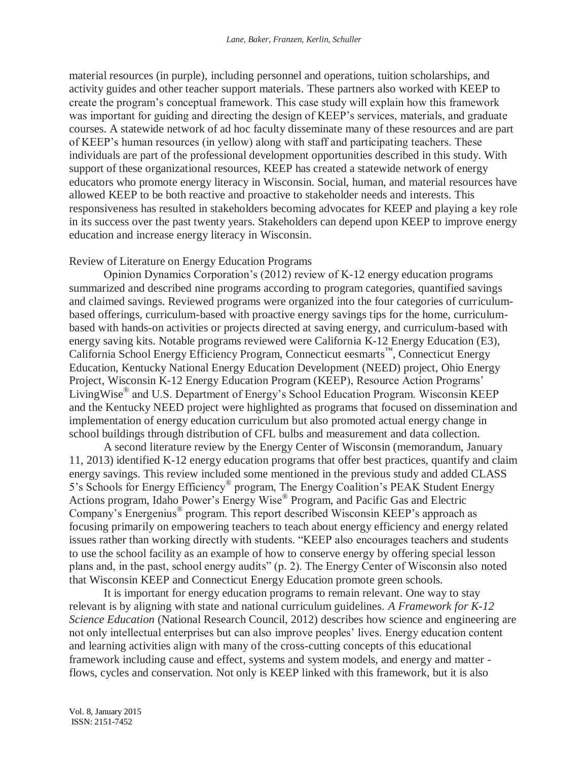material resources (in purple), including personnel and operations, tuition scholarships, and activity guides and other teacher support materials. These partners also worked with KEEP to create the program's conceptual framework. This case study will explain how this framework was important for guiding and directing the design of KEEP's services, materials, and graduate courses. A statewide network of ad hoc faculty disseminate many of these resources and are part of KEEP's human resources (in yellow) along with staff and participating teachers. These individuals are part of the professional development opportunities described in this study. With support of these organizational resources, KEEP has created a statewide network of energy educators who promote energy literacy in Wisconsin. Social, human, and material resources have allowed KEEP to be both reactive and proactive to stakeholder needs and interests. This responsiveness has resulted in stakeholders becoming advocates for KEEP and playing a key role in its success over the past twenty years. Stakeholders can depend upon KEEP to improve energy education and increase energy literacy in Wisconsin.

### Review of Literature on Energy Education Programs

Opinion Dynamics Corporation's (2012) review of K-12 energy education programs summarized and described nine programs according to program categories, quantified savings and claimed savings. Reviewed programs were organized into the four categories of curriculumbased offerings, curriculum-based with proactive energy savings tips for the home, curriculumbased with hands-on activities or projects directed at saving energy, and curriculum-based with energy saving kits. Notable programs reviewed were California K-12 Energy Education (E3), California School Energy Efficiency Program, Connecticut eesmarts™, Connecticut Energy Education, Kentucky National Energy Education Development (NEED) project, Ohio Energy Project, Wisconsin K-12 Energy Education Program (KEEP), Resource Action Programs' LivingWise® and U.S. Department of Energy's School Education Program. Wisconsin KEEP and the Kentucky NEED project were highlighted as programs that focused on dissemination and implementation of energy education curriculum but also promoted actual energy change in school buildings through distribution of CFL bulbs and measurement and data collection.

A second literature review by the Energy Center of Wisconsin (memorandum, January 11, 2013) identified K-12 energy education programs that offer best practices, quantify and claim energy savings. This review included some mentioned in the previous study and added CLASS 5's Schools for Energy Efficiency® program, The Energy Coalition's PEAK Student Energy Actions program, Idaho Power's Energy Wise® Program, and Pacific Gas and Electric Company's Energenius® program. This report described Wisconsin KEEP's approach as focusing primarily on empowering teachers to teach about energy efficiency and energy related issues rather than working directly with students. "KEEP also encourages teachers and students to use the school facility as an example of how to conserve energy by offering special lesson plans and, in the past, school energy audits" (p. 2). The Energy Center of Wisconsin also noted that Wisconsin KEEP and Connecticut Energy Education promote green schools.

It is important for energy education programs to remain relevant. One way to stay relevant is by aligning with state and national curriculum guidelines. *A Framework for K-12 Science Education* (National Research Council, 2012) describes how science and engineering are not only intellectual enterprises but can also improve peoples' lives. Energy education content and learning activities align with many of the cross-cutting concepts of this educational framework including cause and effect, systems and system models, and energy and matter flows, cycles and conservation. Not only is KEEP linked with this framework, but it is also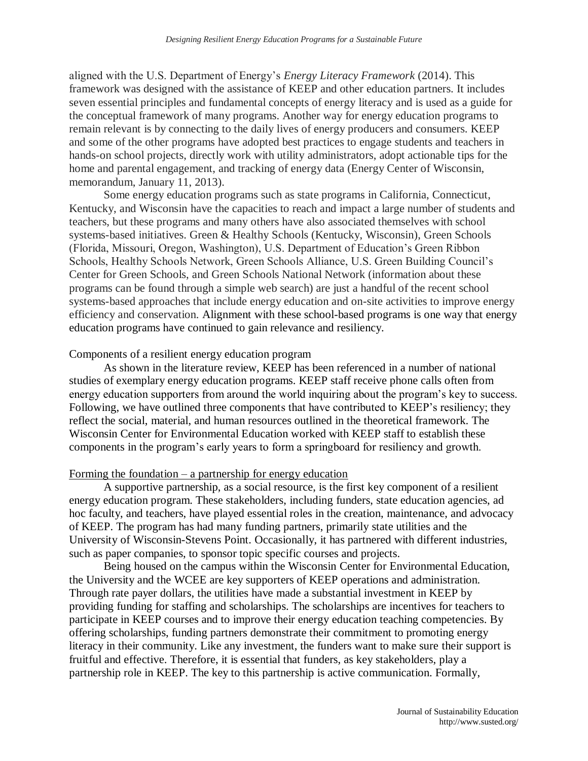aligned with the U.S. Department of Energy's *Energy Literacy Framework* (2014). This framework was designed with the assistance of KEEP and other education partners. It includes seven essential principles and fundamental concepts of energy literacy and is used as a guide for the conceptual framework of many programs. Another way for energy education programs to remain relevant is by connecting to the daily lives of energy producers and consumers. KEEP and some of the other programs have adopted best practices to engage students and teachers in hands-on school projects, directly work with utility administrators, adopt actionable tips for the home and parental engagement, and tracking of energy data (Energy Center of Wisconsin, memorandum, January 11, 2013).

Some energy education programs such as state programs in California, Connecticut, Kentucky, and Wisconsin have the capacities to reach and impact a large number of students and teachers, but these programs and many others have also associated themselves with school systems-based initiatives. Green & Healthy Schools (Kentucky, Wisconsin), Green Schools (Florida, Missouri, Oregon, Washington), U.S. Department of Education's Green Ribbon Schools, Healthy Schools Network, Green Schools Alliance, U.S. Green Building Council's Center for Green Schools, and Green Schools National Network (information about these programs can be found through a simple web search) are just a handful of the recent school systems-based approaches that include energy education and on-site activities to improve energy efficiency and conservation. Alignment with these school-based programs is one way that energy education programs have continued to gain relevance and resiliency.

#### Components of a resilient energy education program

As shown in the literature review, KEEP has been referenced in a number of national studies of exemplary energy education programs. KEEP staff receive phone calls often from energy education supporters from around the world inquiring about the program's key to success. Following, we have outlined three components that have contributed to KEEP's resiliency; they reflect the social, material, and human resources outlined in the theoretical framework. The Wisconsin Center for Environmental Education worked with KEEP staff to establish these components in the program's early years to form a springboard for resiliency and growth.

#### Forming the foundation  $-$  a partnership for energy education

A supportive partnership, as a social resource, is the first key component of a resilient energy education program. These stakeholders, including funders, state education agencies, ad hoc faculty, and teachers, have played essential roles in the creation, maintenance, and advocacy of KEEP. The program has had many funding partners, primarily state utilities and the University of Wisconsin-Stevens Point. Occasionally, it has partnered with different industries, such as paper companies, to sponsor topic specific courses and projects.

Being housed on the campus within the Wisconsin Center for Environmental Education, the University and the WCEE are key supporters of KEEP operations and administration. Through rate payer dollars, the utilities have made a substantial investment in KEEP by providing funding for staffing and scholarships. The scholarships are incentives for teachers to participate in KEEP courses and to improve their energy education teaching competencies. By offering scholarships, funding partners demonstrate their commitment to promoting energy literacy in their community. Like any investment, the funders want to make sure their support is fruitful and effective. Therefore, it is essential that funders, as key stakeholders, play a partnership role in KEEP. The key to this partnership is active communication. Formally,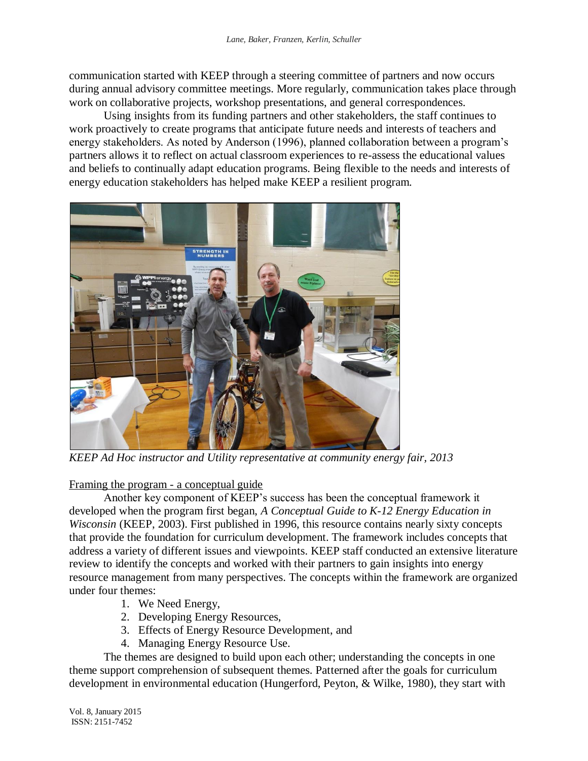communication started with KEEP through a steering committee of partners and now occurs during annual advisory committee meetings. More regularly, communication takes place through work on collaborative projects, workshop presentations, and general correspondences.

Using insights from its funding partners and other stakeholders, the staff continues to work proactively to create programs that anticipate future needs and interests of teachers and energy stakeholders. As noted by Anderson (1996), planned collaboration between a program's partners allows it to reflect on actual classroom experiences to re-assess the educational values and beliefs to continually adapt education programs. Being flexible to the needs and interests of energy education stakeholders has helped make KEEP a resilient program.



*KEEP Ad Hoc instructor and Utility representative at community energy fair, 2013*

## Framing the program - a conceptual guide

Another key component of KEEP's success has been the conceptual framework it developed when the program first began, *A Conceptual Guide to K-12 Energy Education in Wisconsin* (KEEP, 2003). First published in 1996, this resource contains nearly sixty concepts that provide the foundation for curriculum development. The framework includes concepts that address a variety of different issues and viewpoints. KEEP staff conducted an extensive literature review to identify the concepts and worked with their partners to gain insights into energy resource management from many perspectives. The concepts within the framework are organized under four themes:

- 1. We Need Energy,
- 2. Developing Energy Resources,
- 3. Effects of Energy Resource Development, and
- 4. Managing Energy Resource Use.

The themes are designed to build upon each other; understanding the concepts in one theme support comprehension of subsequent themes. Patterned after the goals for curriculum development in environmental education (Hungerford, Peyton, & Wilke, 1980), they start with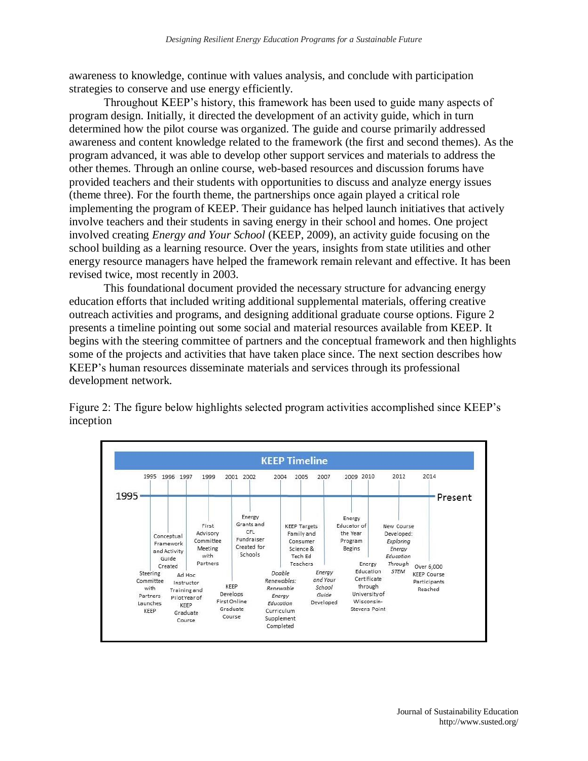awareness to knowledge, continue with values analysis, and conclude with participation strategies to conserve and use energy efficiently.

Throughout KEEP's history, this framework has been used to guide many aspects of program design. Initially, it directed the development of an activity guide, which in turn determined how the pilot course was organized. The guide and course primarily addressed awareness and content knowledge related to the framework (the first and second themes). As the program advanced, it was able to develop other support services and materials to address the other themes. Through an online course, web-based resources and discussion forums have provided teachers and their students with opportunities to discuss and analyze energy issues (theme three). For the fourth theme, the partnerships once again played a critical role implementing the program of KEEP. Their guidance has helped launch initiatives that actively involve teachers and their students in saving energy in their school and homes. One project involved creating *Energy and Your School* (KEEP, 2009), an activity guide focusing on the school building as a learning resource. Over the years, insights from state utilities and other energy resource managers have helped the framework remain relevant and effective. It has been revised twice, most recently in 2003.

This foundational document provided the necessary structure for advancing energy education efforts that included writing additional supplemental materials, offering creative outreach activities and programs, and designing additional graduate course options. Figure 2 presents a timeline pointing out some social and material resources available from KEEP. It begins with the steering committee of partners and the conceptual framework and then highlights some of the projects and activities that have taken place since. The next section describes how KEEP's human resources disseminate materials and services through its professional development network.

**KEEP Timeline** 1995 1996 1997 2001 2002 2004 2005 2009 2010 2012 2014 1999 2007 1995 Present Energy Energy Grants and First **KEEP Targets** Educator of New Course CFL Advisory the Year Family and Developed: Conceptual Committee Fundraiser Program Exploring Consumer Framework Created for Meeting Begins Science & and Activity Energy Schools with Tech Ed Education Guide Partners Through Teachers Energy Created Over 6,000 Education **STEM** Energy Steering Doable **KEEP Course** Ad Hoc Certificate and Your Committee Renewables: Participants Instructor KEEP through School with Renewable Training and Reached Develops University of Guide Partners Energy Pilot Year of First Online Wisconsin-Education Developed Launches KEEP Graduate **Stevens Point** KEEP Curriculum Graduate Course Supplement Course Completed

Figure 2: The figure below highlights selected program activities accomplished since KEEP's inception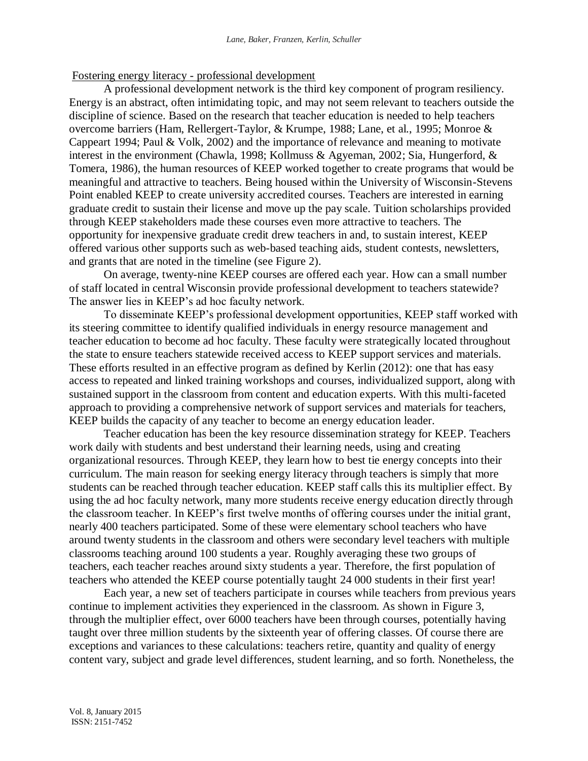### Fostering energy literacy - professional development

A professional development network is the third key component of program resiliency. Energy is an abstract, often intimidating topic, and may not seem relevant to teachers outside the discipline of science. Based on the research that teacher education is needed to help teachers overcome barriers (Ham, Rellergert-Taylor, & Krumpe, 1988; Lane, et al., 1995; Monroe & Cappeart 1994; Paul & Volk, 2002) and the importance of relevance and meaning to motivate interest in the environment (Chawla, 1998; Kollmuss & Agyeman, 2002; Sia, Hungerford, & Tomera, 1986), the human resources of KEEP worked together to create programs that would be meaningful and attractive to teachers. Being housed within the University of Wisconsin-Stevens Point enabled KEEP to create university accredited courses. Teachers are interested in earning graduate credit to sustain their license and move up the pay scale. Tuition scholarships provided through KEEP stakeholders made these courses even more attractive to teachers. The opportunity for inexpensive graduate credit drew teachers in and, to sustain interest, KEEP offered various other supports such as web-based teaching aids, student contests, newsletters, and grants that are noted in the timeline (see Figure 2).

On average, twenty-nine KEEP courses are offered each year. How can a small number of staff located in central Wisconsin provide professional development to teachers statewide? The answer lies in KEEP's ad hoc faculty network.

To disseminate KEEP's professional development opportunities, KEEP staff worked with its steering committee to identify qualified individuals in energy resource management and teacher education to become ad hoc faculty. These faculty were strategically located throughout the state to ensure teachers statewide received access to KEEP support services and materials. These efforts resulted in an effective program as defined by Kerlin (2012): one that has easy access to repeated and linked training workshops and courses, individualized support, along with sustained support in the classroom from content and education experts. With this multi-faceted approach to providing a comprehensive network of support services and materials for teachers, KEEP builds the capacity of any teacher to become an energy education leader.

Teacher education has been the key resource dissemination strategy for KEEP. Teachers work daily with students and best understand their learning needs, using and creating organizational resources. Through KEEP, they learn how to best tie energy concepts into their curriculum. The main reason for seeking energy literacy through teachers is simply that more students can be reached through teacher education. KEEP staff calls this its multiplier effect. By using the ad hoc faculty network, many more students receive energy education directly through the classroom teacher. In KEEP's first twelve months of offering courses under the initial grant, nearly 400 teachers participated. Some of these were elementary school teachers who have around twenty students in the classroom and others were secondary level teachers with multiple classrooms teaching around 100 students a year. Roughly averaging these two groups of teachers, each teacher reaches around sixty students a year. Therefore, the first population of teachers who attended the KEEP course potentially taught 24 000 students in their first year!

Each year, a new set of teachers participate in courses while teachers from previous years continue to implement activities they experienced in the classroom. As shown in Figure 3, through the multiplier effect, over 6000 teachers have been through courses, potentially having taught over three million students by the sixteenth year of offering classes. Of course there are exceptions and variances to these calculations: teachers retire, quantity and quality of energy content vary, subject and grade level differences, student learning, and so forth. Nonetheless, the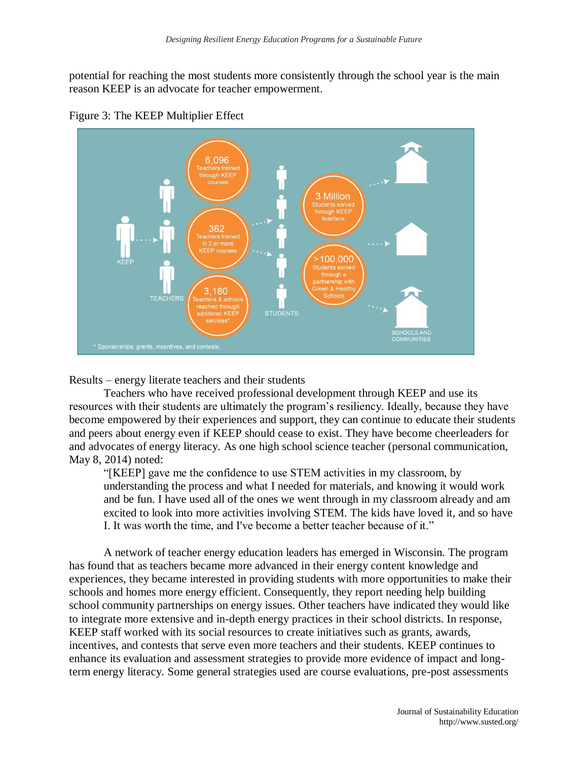potential for reaching the most students more consistently through the school year is the main reason KEEP is an advocate for teacher empowerment.





Results – energy literate teachers and their students

Teachers who have received professional development through KEEP and use its resources with their students are ultimately the program's resiliency. Ideally, because they have become empowered by their experiences and support, they can continue to educate their students and peers about energy even if KEEP should cease to exist. They have become cheerleaders for and advocates of energy literacy. As one high school science teacher (personal communication, May 8, 2014) noted:

"[KEEP] gave me the confidence to use STEM activities in my classroom, by understanding the process and what I needed for materials, and knowing it would work and be fun. I have used all of the ones we went through in my classroom already and am excited to look into more activities involving STEM. The kids have loved it, and so have I. It was worth the time, and I've become a better teacher because of it."

A network of teacher energy education leaders has emerged in Wisconsin. The program has found that as teachers became more advanced in their energy content knowledge and experiences, they became interested in providing students with more opportunities to make their schools and homes more energy efficient. Consequently, they report needing help building school community partnerships on energy issues. Other teachers have indicated they would like to integrate more extensive and in-depth energy practices in their school districts. In response, KEEP staff worked with its social resources to create initiatives such as grants, awards, incentives, and contests that serve even more teachers and their students. KEEP continues to enhance its evaluation and assessment strategies to provide more evidence of impact and longterm energy literacy. Some general strategies used are course evaluations, pre-post assessments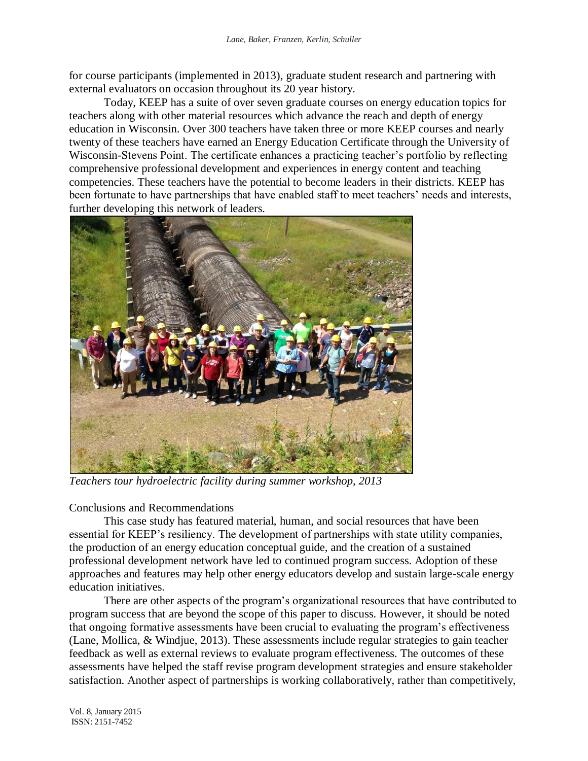for course participants (implemented in 2013), graduate student research and partnering with external evaluators on occasion throughout its 20 year history.

Today, KEEP has a suite of over seven graduate courses on energy education topics for teachers along with other material resources which advance the reach and depth of energy education in Wisconsin. Over 300 teachers have taken three or more KEEP courses and nearly twenty of these teachers have earned an Energy Education Certificate through the University of Wisconsin-Stevens Point. The certificate enhances a practicing teacher's portfolio by reflecting comprehensive professional development and experiences in energy content and teaching competencies. These teachers have the potential to become leaders in their districts. KEEP has been fortunate to have partnerships that have enabled staff to meet teachers' needs and interests, further developing this network of leaders.



*Teachers tour hydroelectric facility during summer workshop, 2013*

Conclusions and Recommendations

This case study has featured material, human, and social resources that have been essential for KEEP's resiliency. The development of partnerships with state utility companies, the production of an energy education conceptual guide, and the creation of a sustained professional development network have led to continued program success. Adoption of these approaches and features may help other energy educators develop and sustain large-scale energy education initiatives.

There are other aspects of the program's organizational resources that have contributed to program success that are beyond the scope of this paper to discuss. However, it should be noted that ongoing formative assessments have been crucial to evaluating the program's effectiveness (Lane, Mollica, & Windjue, 2013). These assessments include regular strategies to gain teacher feedback as well as external reviews to evaluate program effectiveness. The outcomes of these assessments have helped the staff revise program development strategies and ensure stakeholder satisfaction. Another aspect of partnerships is working collaboratively, rather than competitively,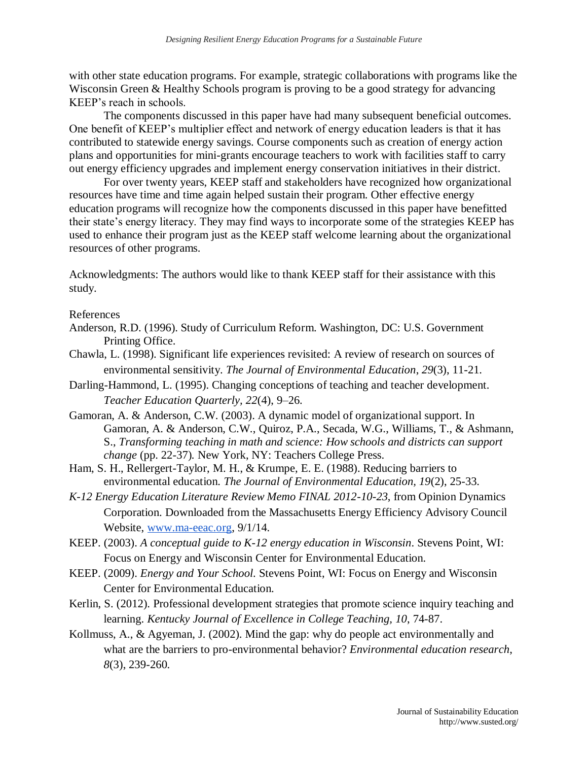with other state education programs. For example, strategic collaborations with programs like the Wisconsin Green & Healthy Schools program is proving to be a good strategy for advancing KEEP's reach in schools.

The components discussed in this paper have had many subsequent beneficial outcomes. One benefit of KEEP's multiplier effect and network of energy education leaders is that it has contributed to statewide energy savings. Course components such as creation of energy action plans and opportunities for mini-grants encourage teachers to work with facilities staff to carry out energy efficiency upgrades and implement energy conservation initiatives in their district.

For over twenty years, KEEP staff and stakeholders have recognized how organizational resources have time and time again helped sustain their program. Other effective energy education programs will recognize how the components discussed in this paper have benefitted their state's energy literacy. They may find ways to incorporate some of the strategies KEEP has used to enhance their program just as the KEEP staff welcome learning about the organizational resources of other programs.

Acknowledgments: The authors would like to thank KEEP staff for their assistance with this study.

### References

- Anderson, R.D. (1996). Study of Curriculum Reform. Washington, DC: U.S. Government Printing Office.
- Chawla, L. (1998). Significant life experiences revisited: A review of research on sources of environmental sensitivity. *The Journal of Environmental Education*, *29*(3), 11-21.
- Darling-Hammond, L. (1995). Changing conceptions of teaching and teacher development. *Teacher Education Quarterly, 22*(4), 9–26.
- Gamoran, A. & Anderson, C.W. (2003). A dynamic model of organizational support. In Gamoran, A. & Anderson, C.W., Quiroz, P.A., Secada, W.G., Williams, T., & Ashmann, S., *Transforming teaching in math and science: How schools and districts can support change* (pp. 22-37)*.* New York, NY: Teachers College Press.
- Ham, S. H., Rellergert-Taylor, M. H., & Krumpe, E. E. (1988). Reducing barriers to environmental education. *The Journal of Environmental Education, 19*(2), 25-33.
- *K-12 Energy Education Literature Review Memo FINAL 2012-10-23*, from Opinion Dynamics Corporation. Downloaded from the Massachusetts Energy Efficiency Advisory Council Website, [www.ma-eeac.org,](http://www.ma-eeac.org/) 9/1/14.
- KEEP. (2003). *A conceptual guide to K-12 energy education in Wisconsin*. Stevens Point, WI: Focus on Energy and Wisconsin Center for Environmental Education.
- KEEP. (2009). *Energy and Your School.* Stevens Point, WI: Focus on Energy and Wisconsin Center for Environmental Education.
- Kerlin, S. (2012). Professional development strategies that promote science inquiry teaching and learning. *Kentucky Journal of Excellence in College Teaching, 10*, 74-87.
- Kollmuss, A., & Agyeman, J. (2002). Mind the gap: why do people act environmentally and what are the barriers to pro-environmental behavior? *Environmental education research*, *8*(3), 239-260.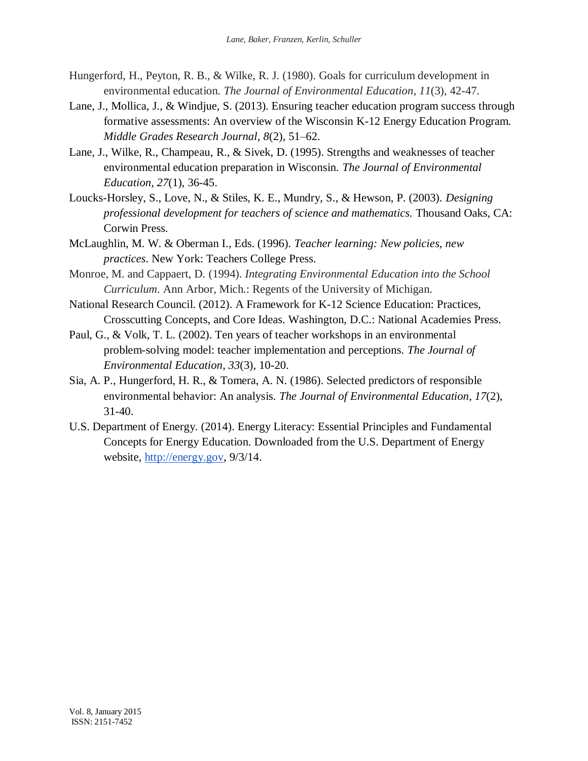- Hungerford, H., Peyton, R. B., & Wilke, R. J. (1980). Goals for curriculum development in environmental education. *The Journal of Environmental Education*, *11*(3), 42-47.
- Lane, J., Mollica, J., & Windjue, S. (2013). Ensuring teacher education program success through formative assessments: An overview of the Wisconsin K-12 Energy Education Program. *Middle Grades Research Journal*, *8*(2), 51–62.
- Lane, J., Wilke, R., Champeau, R., & Sivek, D. (1995). Strengths and weaknesses of teacher environmental education preparation in Wisconsin. *The Journal of Environmental Education*, *27*(1), 36-45.
- Loucks-Horsley, S., Love, N., & Stiles, K. E., Mundry, S., & Hewson, P. (2003). *Designing professional development for teachers of science and mathematics.* Thousand Oaks, CA: Corwin Press.
- McLaughlin, M. W. & Oberman I., Eds. (1996). *Teacher learning: New policies, new practices*. New York: Teachers College Press.
- Monroe, M. and Cappaert, D. (1994). *Integrating Environmental Education into the School Curriculum*. Ann Arbor, Mich.: Regents of the University of Michigan.
- National Research Council. (2012). A Framework for K-12 Science Education: Practices, Crosscutting Concepts, and Core Ideas. Washington, D.C.: National Academies Press.
- Paul, G., & Volk, T. L. (2002). Ten years of teacher workshops in an environmental problem-solving model: teacher implementation and perceptions. *The Journal of Environmental Education*, *33*(3), 10-20.
- Sia, A. P., Hungerford, H. R., & Tomera, A. N. (1986). Selected predictors of responsible environmental behavior: An analysis. *The Journal of Environmental Education*, *17*(2), 31-40.
- U.S. Department of Energy. (2014). Energy Literacy: Essential Principles and Fundamental Concepts for Energy Education. Downloaded from the U.S. Department of Energy website, [http://energy.gov,](http://energy.gov/) 9/3/14.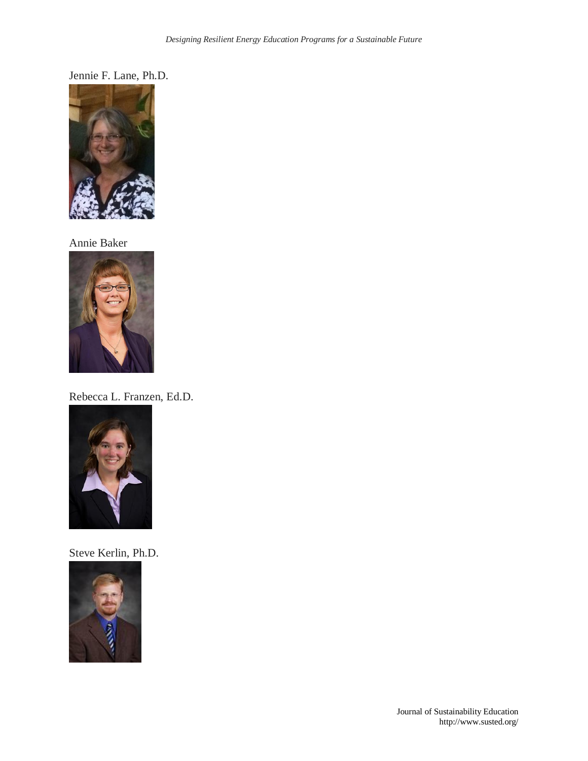Jennie F. Lane, Ph.D.



Annie Baker



Rebecca L. Franzen, Ed.D.



Steve Kerlin, Ph.D.